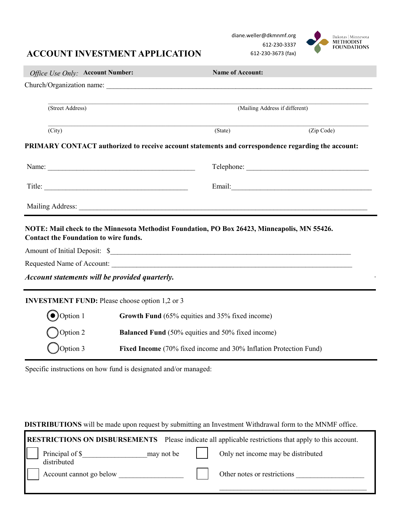## **ACCOUNT INVESTMENT APPLICATION**

diane.weller@dkmnmf.org 612-230-3337 612-230-3673 (fax)



| Office Use Only: Account Number:                      |                                                                   | <b>Name of Account:</b>                                                                            |                                |  |
|-------------------------------------------------------|-------------------------------------------------------------------|----------------------------------------------------------------------------------------------------|--------------------------------|--|
|                                                       |                                                                   |                                                                                                    |                                |  |
| (Street Address)                                      |                                                                   |                                                                                                    | (Mailing Address if different) |  |
| (City)                                                |                                                                   | (State)                                                                                            | (Zip Code)                     |  |
|                                                       |                                                                   | PRIMARY CONTACT authorized to receive account statements and correspondence regarding the account: |                                |  |
|                                                       |                                                                   |                                                                                                    |                                |  |
|                                                       |                                                                   |                                                                                                    |                                |  |
| Mailing Address:                                      |                                                                   |                                                                                                    |                                |  |
| <b>Contact the Foundation to wire funds.</b>          |                                                                   | NOTE: Mail check to the Minnesota Methodist Foundation, PO Box 26423, Minneapolis, MN 55426.       |                                |  |
|                                                       |                                                                   |                                                                                                    |                                |  |
|                                                       |                                                                   |                                                                                                    |                                |  |
| Account statements will be provided quarterly.        |                                                                   |                                                                                                    |                                |  |
| <b>INVESTMENT FUND:</b> Please choose option 1,2 or 3 |                                                                   |                                                                                                    |                                |  |
| $\bigodot$ Option 1                                   |                                                                   | Growth Fund (65% equities and 35% fixed income)                                                    |                                |  |
| Option 2                                              | <b>Balanced Fund</b> (50% equities and 50% fixed income)          |                                                                                                    |                                |  |
| $\bigcirc$ Option 3                                   | Fixed Income (70% fixed income and 30% Inflation Protection Fund) |                                                                                                    |                                |  |

Specific instructions on how fund is designated and/or managed:

г

**DISTRIBUTIONS** will be made upon request by submitting an Investment Withdrawal form to the MNMF office.

|                                                    | <b>RESTRICTIONS ON DISBURSEMENTS</b> Please indicate all applicable restrictions that apply to this account. |
|----------------------------------------------------|--------------------------------------------------------------------------------------------------------------|
| Principal of \$<br>$may not be$    <br>distributed | Only net income may be distributed                                                                           |
| Account cannot go below                            | Other notes or restrictions                                                                                  |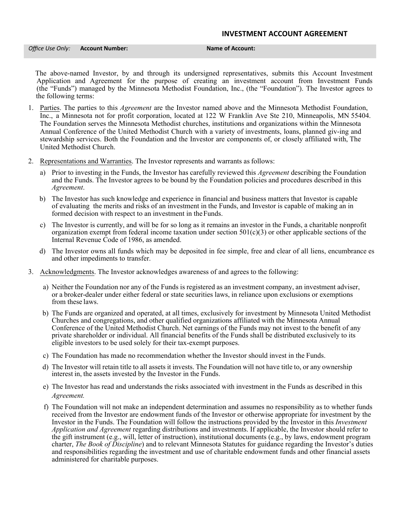## **INVESTMENT ACCOUNT AGREEMENT**

*Office Use Only:* **Account Number: Name of Account:**

The above-named Investor, by and through its undersigned representatives, submits this Account Investment Application and Agreement for the purpose of creating an investment account from Investment Funds (the "Funds") managed by the Minnesota Methodist Foundation, Inc., (the "Foundation"). The Investor agrees to the following terms:

- 1. Parties. The parties to this *Agreement* are the Investor named above and the Minnesota Methodist Foundation, Inc., a Minnesota not for profit corporation, located at 122 W Franklin Ave Ste 210, Minneapolis, MN 55404. The Foundation serves the Minnesota Methodist churches, institutions and organizations within the Minnesota Annual Conference of the United Methodist Church with a variety of investments, loans, planned giv-ing and stewardship services. Both the Foundation and the Investor are components of, or closely affiliated with, The United Methodist Church.
- 2. Representations and Warranties. The Investor represents and warrants as follows:
	- a) Prior to investing in the Funds, the Investor has carefully reviewed this *Agreement* describing the Foundation and the Funds. The Investor agrees to be bound by the Foundation policies and procedures described in this *Agreement*.
	- b) The Investor has such knowledge and experience in financial and business matters that Investor is capable of evaluating the merits and risks of an investment in the Funds, and Investor is capable of making an in formed decision with respect to an investment in the Funds.
	- c) The Investor is currently, and will be for so long as it remains an investor in the Funds, a charitable nonprofit organization exempt from federal income taxation under section  $501(c)(3)$  or other applicable sections of the Internal Revenue Code of 1986, as amended.
	- d) The Investor owns all funds which may be deposited in fee simple, free and clear of all liens, encumbrance es and other impediments to transfer.
- 3. Acknowledgments. The Investor acknowledges awareness of and agrees to the following:
	- a) Neither the Foundation nor any of the Funds is registered as an investment company, an investment adviser, or a broker-dealer under either federal or state securities laws, in reliance upon exclusions or exemptions from these laws.
	- b) The Funds are organized and operated, at all times, exclusively for investment by Minnesota United Methodist Churches and congregations, and other qualified organizations affiliated with the Minnesota Annual Conference of the United Methodist Church. Net earnings of the Funds may not invest to the benefit of any private shareholder or individual. All financial benefits of the Funds shall be distributed exclusively to its eligible investors to be used solely for their tax-exempt purposes.
	- c) The Foundation has made no recommendation whether the Investor should invest in the Funds.
	- d) The Investor will retain title to all assets it invests. The Foundation will not have title to, or any ownership interest in, the assets invested by the Investor in the Funds.
	- e) The Investor has read and understands the risks associated with investment in the Funds as described in this *Agreement.*
	- f) The Foundation will not make an independent determination and assumes no responsibility as to whether funds received from the Investor are endowment funds of the Investor or otherwise appropriate for investment by the Investor in the Funds. The Foundation will follow the instructions provided by the Investor in this *Investment Application and Agreement* regarding distributions and investments. If applicable, the Investor should refer to the gift instrument (e.g., will, letter of instruction), institutional documents (e.g., by laws, endowment program charter, *The Book of Discipline*) and to relevant Minnesota Statutes for guidance regarding the Investor's duties and responsibilities regarding the investment and use of charitable endowment funds and other financial assets administered for charitable purposes.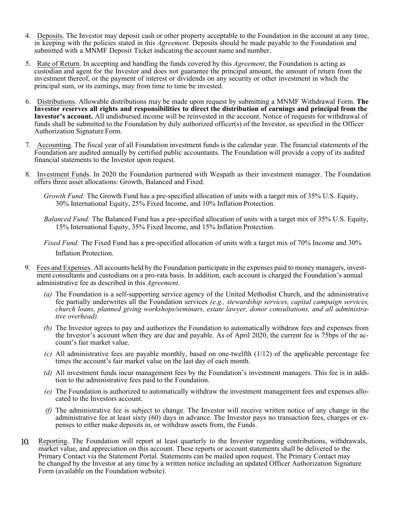- 4. Deposits. The Investor may deposit cash or other property acceptable to the Foundation in the account at any time, in keeping with the policies stated in this *Agreement.* Deposits should be made payable to the Foundation and submitted with a MNMF Deposit Ticket indicating the account name and number.
- 5. Rate of Return. In accepting and handling the funds covered by this *Agreement*, the Foundation is acting as custodian and agent for the Investor and does not guarantee the principal amount, the amount of return from the investment thereof, or the payment of interest or dividends on any security or other investment in which the principal sum, or its earnings, may from time to time be invested.
- 6. Distributions. Allowable distributions may be made upon request by submitting a MNMF Withdrawal Form. **The Investor reserves all rights and responsibilities to direct the distribution of earnings and principal from the Investor's account.** All undisbursed income will be reinvested in the account. Notice of requests for withdrawal of funds shall be submitted to the Foundation by duly authorized officer(s) of the Investor, as specified in the Officer Authorization Signature Form.
- 7. Accounting. The fiscal year of all Foundation investment funds is the calendar year. The financial statements of the Foundation are audited annually by certified public accountants. The Foundation will provide a copy of its audited financial statements to the Investor upon request.
- 8. Investment Funds. In 2020 the Foundation partnered with Wespath as their investment manager. The Foundation offers three asset allocations: Growth, Balanced and Fixed.
	- *Growth Fund:* The Growth Fund has a pre-specified allocation of units with a target mix of 35% U.S. Equity, 30% International Equity, 25% Fixed Income, and 10% Inflation Protection.
	- *Balanced Fund:* The Balanced Fund has a pre-specified allocation of units with a target mix of 35% U.S. Equity, 15% International Equity, 35% Fixed Income, and 15% Inflation Protection.
	- *Fixed Fund:* The Fixed Fund has a pre-specified allocation of units with a target mix of 70% Income and 30% Inflation Protection.
- 9. Fees and Expenses. All accounts held by the Foundation participate in the expenses paid to money managers, investment consultants and custodians on a pro-rata basis. In addition, each account is charged the Foundation's annual administrative fee as described in this *Agreement*.
	- *(a)* The Foundation is a self-supporting service agency of the United Methodist Church, and the administrative fee partially underwrites all the Foundation services *(e.g., stewardship services, capital campaign services, church loans, planned giving workshops/seminars, estate lawyer, donor consultations, and all administrative overhead).*
	- *(b)* The Investor agrees to pay and authorizes the Foundation to automatically withdraw fees and expenses from the Investor's account when they are due and payable. As of April 2020, the current fee is 75bps of the account's fair market value.
	- *(c)* All administrative fees are payable monthly, based on one-twelfth (1/12) of the applicable percentage fee times the account's fair market value on the last day of each month.
	- *(d)* All investment funds incur management fees by the Foundation's investment managers. This fee is in addition to the administrative fees paid to the Foundation.
	- *(e)* The Foundation is authorized to automatically withdraw the investment management fees and expenses allocated to the Investors account.
	- *(f)* The administrative fee is subject to change. The Investor will receive written notice of any change in the administrative fee at least sixty (60) days in advance. The Investor pays no transaction fees, charges or expenses to either make deposits in, or withdraw assets from, the Funds.
- Reporting. The Foundation will report at least quarterly to the Investor regarding contributions, withdrawals,  $10^{\circ}$ market value, and appreciation on this account. These reports or account statements shall be delivered to the Primary Contact via the Statement Portal. Statements can be mailed upon request. The Primary Contact may be changed by the Investor at any time by a written notice including an updated Officer Authorization Signature Form (available on the Foundation website).